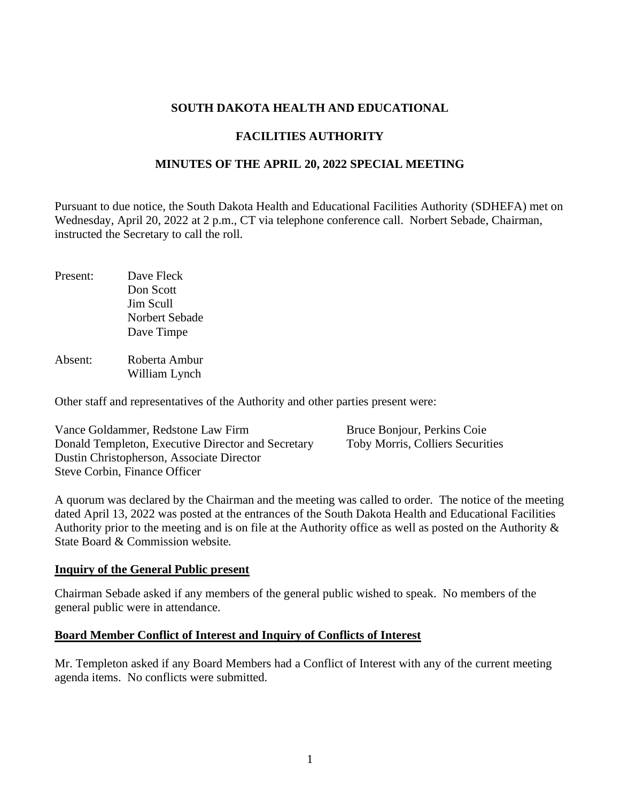## **SOUTH DAKOTA HEALTH AND EDUCATIONAL**

# **FACILITIES AUTHORITY**

## **MINUTES OF THE APRIL 20, 2022 SPECIAL MEETING**

Pursuant to due notice, the South Dakota Health and Educational Facilities Authority (SDHEFA) met on Wednesday, April 20, 2022 at 2 p.m., CT via telephone conference call. Norbert Sebade, Chairman, instructed the Secretary to call the roll.

Present: Dave Fleck Don Scott Jim Scull Norbert Sebade Dave Timpe

Absent: Roberta Ambur William Lynch

Other staff and representatives of the Authority and other parties present were:

Vance Goldammer, Redstone Law Firm Bruce Bonjour, Perkins Coie Donald Templeton, Executive Director and Secretary Toby Morris, Colliers Securities Dustin Christopherson, Associate Director Steve Corbin, Finance Officer

A quorum was declared by the Chairman and the meeting was called to order. The notice of the meeting dated April 13, 2022 was posted at the entrances of the South Dakota Health and Educational Facilities Authority prior to the meeting and is on file at the Authority office as well as posted on the Authority & State Board & Commission website*.*

#### **Inquiry of the General Public present**

Chairman Sebade asked if any members of the general public wished to speak. No members of the general public were in attendance.

#### **Board Member Conflict of Interest and Inquiry of Conflicts of Interest**

Mr. Templeton asked if any Board Members had a Conflict of Interest with any of the current meeting agenda items. No conflicts were submitted.